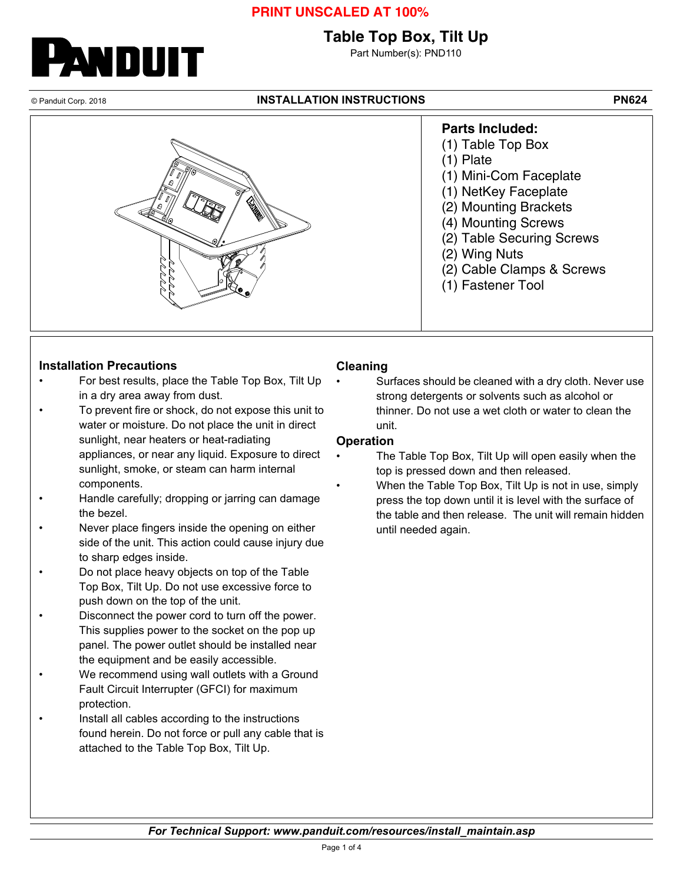## **PRINT UNSCALED AT 100%**

## **Table Top Box, Tilt Up**

Part Number(s): PND110

NDUIT

#### © Panduit Corp. 2018 **INSTALLATION INSTRUCTIONS PN624**



### **Installation Precautions**

- For best results, place the Table Top Box, Tilt Up in a dry area away from dust.
- To prevent fire or shock, do not expose this unit to water or moisture. Do not place the unit in direct sunlight, near heaters or heat-radiating appliances, or near any liquid. Exposure to direct sunlight, smoke, or steam can harm internal components.
- Handle carefully; dropping or jarring can damage the bezel.
- Never place fingers inside the opening on either side of the unit. This action could cause injury due to sharp edges inside.
- Do not place heavy objects on top of the Table Top Box, Tilt Up. Do not use excessive force to push down on the top of the unit.
- Disconnect the power cord to turn off the power. This supplies power to the socket on the pop up panel. The power outlet should be installed near the equipment and be easily accessible.
- We recommend using wall outlets with a Ground Fault Circuit Interrupter (GFCI) for maximum protection.
- Install all cables according to the instructions found herein. Do not force or pull any cable that is attached to the Table Top Box, Tilt Up.

### **Cleaning**

Surfaces should be cleaned with a dry cloth. Never use strong detergents or solvents such as alcohol or thinner. Do not use a wet cloth or water to clean the unit.

#### **Operation**

- The Table Top Box, Tilt Up will open easily when the top is pressed down and then released.
	- When the Table Top Box, Tilt Up is not in use, simply press the top down until it is level with the surface of the table and then release. The unit will remain hidden until needed again.

*For Technical Support: www.panduit.com/resources/install\_maintain.asp*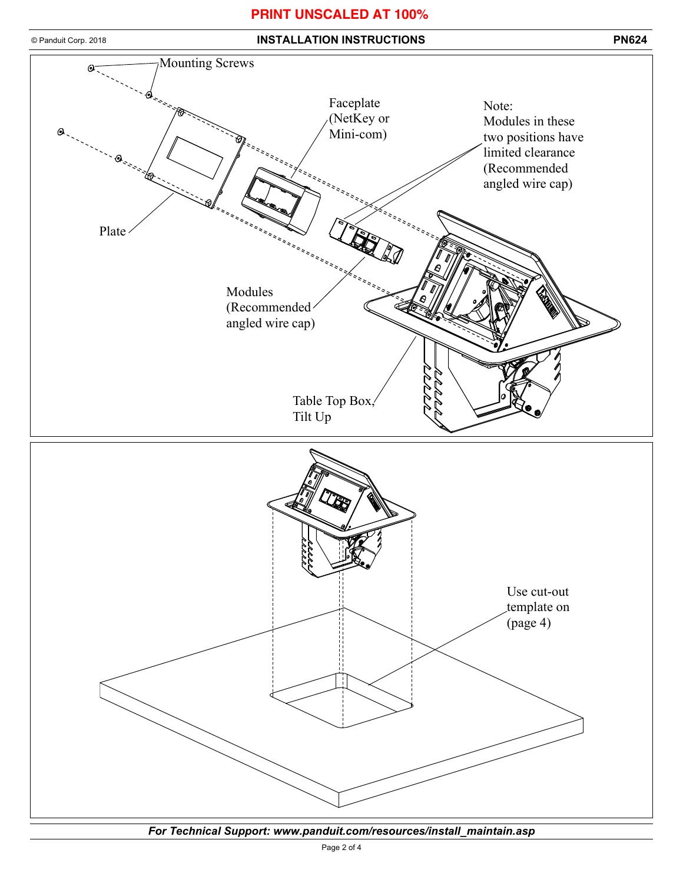### **PRINT UNSCALED AT 100%**



*For Technical Support: www.panduit.com/resources/install\_maintain.asp*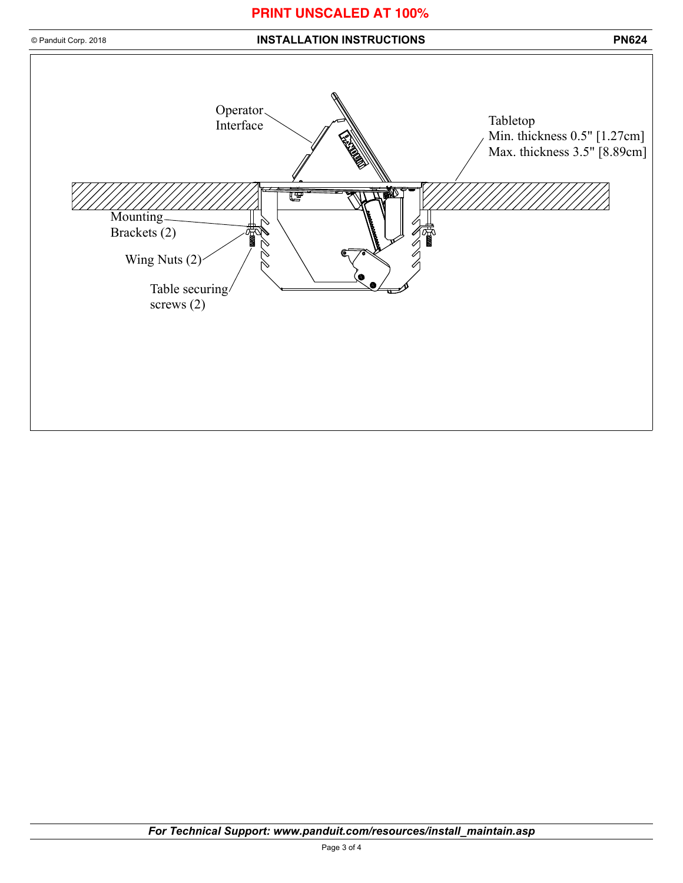## **PRINT UNSCALED AT 100%**